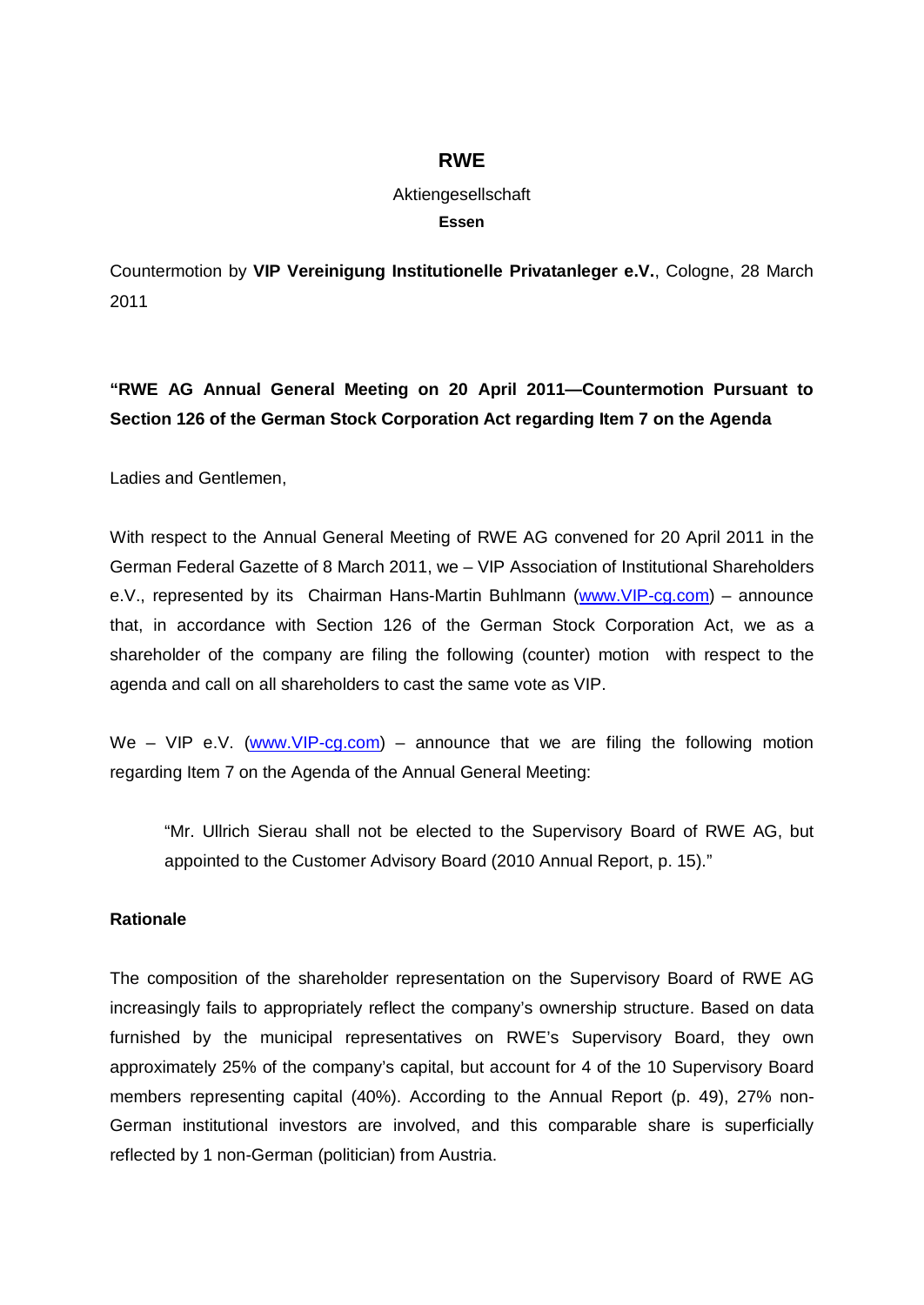## **RWE**

## Aktiengesellschaft **Essen**

Countermotion by **VIP Vereinigung Institutionelle Privatanleger e.V.**, Cologne, 28 March 2011

## **"RWE AG Annual General Meeting on 20 April 2011—Countermotion Pursuant to Section 126 of the German Stock Corporation Act regarding Item 7 on the Agenda**

Ladies and Gentlemen,

With respect to the Annual General Meeting of RWE AG convened for 20 April 2011 in the German Federal Gazette of 8 March 2011, we – VIP Association of Institutional Shareholders e.V., represented by its Chairman Hans-Martin Buhlmann [\(www.VIP-cg.com\)](http://www.VIP-cg.com) – announce that, in accordance with Section 126 of the German Stock Corporation Act, we as a shareholder of the company are filing the following (counter) motion with respect to the agenda and call on all shareholders to cast the same vote as VIP.

We – VIP e.V. [\(www.VIP-cg.com\)](http://www.VIP-cg.com) – announce that we are filing the following motion regarding Item 7 on the Agenda of the Annual General Meeting:

"Mr. Ullrich Sierau shall not be elected to the Supervisory Board of RWE AG, but appointed to the Customer Advisory Board (2010 Annual Report, p. 15)."

## **Rationale**

The composition of the shareholder representation on the Supervisory Board of RWE AG increasingly fails to appropriately reflect the company's ownership structure. Based on data furnished by the municipal representatives on RWE's Supervisory Board, they own approximately 25% of the company's capital, but account for 4 of the 10 Supervisory Board members representing capital (40%). According to the Annual Report (p. 49), 27% non-German institutional investors are involved, and this comparable share is superficially reflected by 1 non-German (politician) from Austria.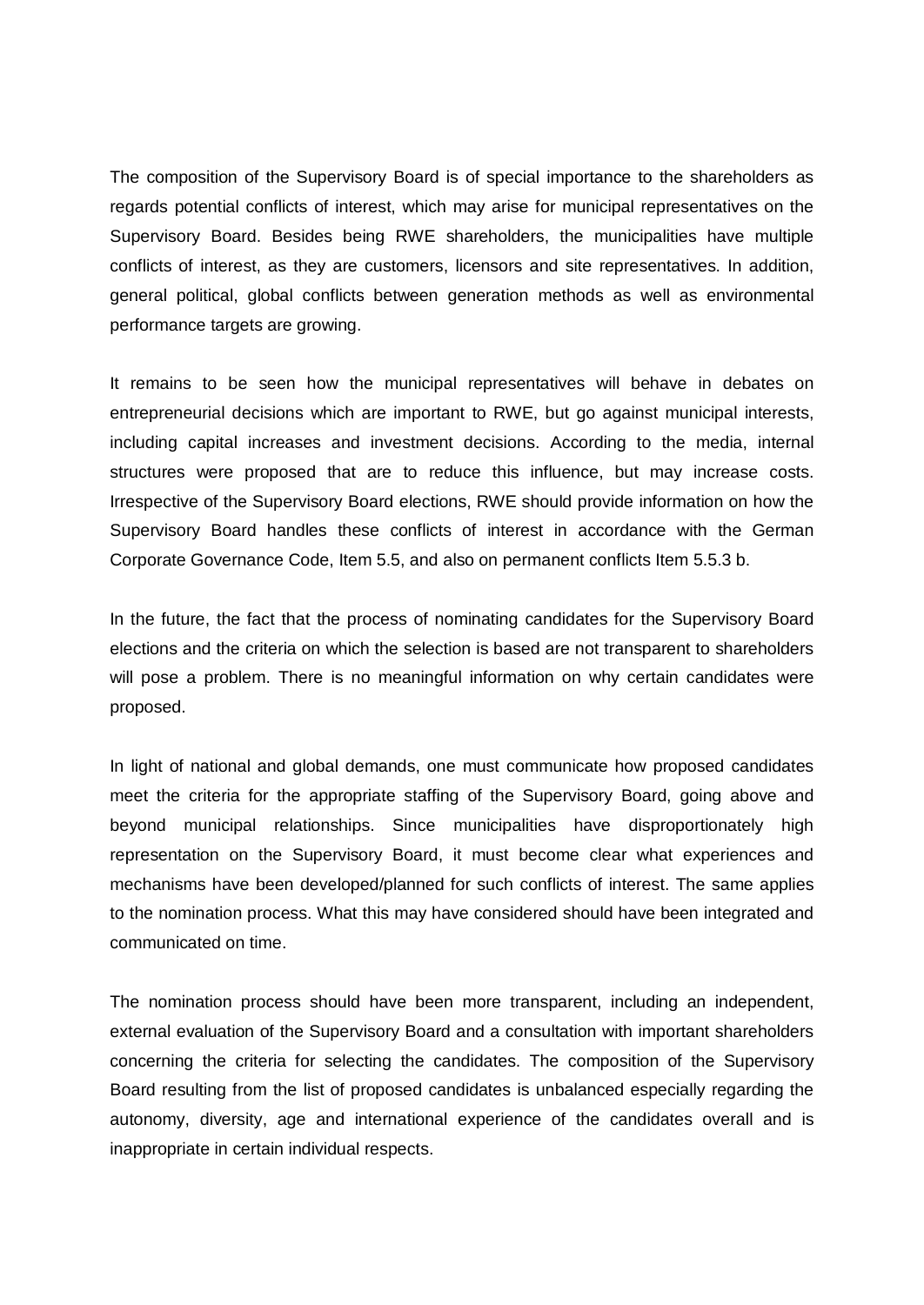The composition of the Supervisory Board is of special importance to the shareholders as regards potential conflicts of interest, which may arise for municipal representatives on the Supervisory Board. Besides being RWE shareholders, the municipalities have multiple conflicts of interest, as they are customers, licensors and site representatives. In addition, general political, global conflicts between generation methods as well as environmental performance targets are growing.

It remains to be seen how the municipal representatives will behave in debates on entrepreneurial decisions which are important to RWE, but go against municipal interests, including capital increases and investment decisions. According to the media, internal structures were proposed that are to reduce this influence, but may increase costs. Irrespective of the Supervisory Board elections, RWE should provide information on how the Supervisory Board handles these conflicts of interest in accordance with the German Corporate Governance Code, Item 5.5, and also on permanent conflicts Item 5.5.3 b.

In the future, the fact that the process of nominating candidates for the Supervisory Board elections and the criteria on which the selection is based are not transparent to shareholders will pose a problem. There is no meaningful information on why certain candidates were proposed.

In light of national and global demands, one must communicate how proposed candidates meet the criteria for the appropriate staffing of the Supervisory Board, going above and beyond municipal relationships. Since municipalities have disproportionately high representation on the Supervisory Board, it must become clear what experiences and mechanisms have been developed/planned for such conflicts of interest. The same applies to the nomination process. What this may have considered should have been integrated and communicated on time.

The nomination process should have been more transparent, including an independent, external evaluation of the Supervisory Board and a consultation with important shareholders concerning the criteria for selecting the candidates. The composition of the Supervisory Board resulting from the list of proposed candidates is unbalanced especially regarding the autonomy, diversity, age and international experience of the candidates overall and is inappropriate in certain individual respects.